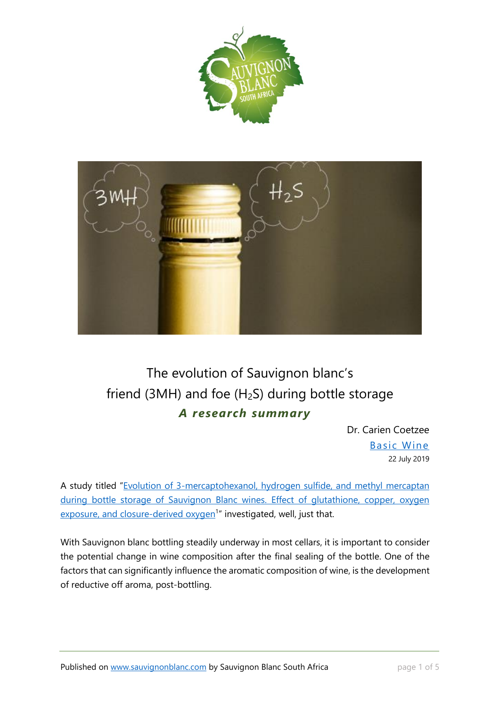



# The evolution of Sauvignon blanc's friend (3MH) and foe ( $H<sub>2</sub>S$ ) during bottle storage *A research summary*

Dr. Carien Coetzee [Basic Wine](http://www.basicwine.co.za/) 22 July 2019

A study titled "[Evolution of 3-mercaptohexanol, hydrogen sulfide, and methyl mercaptan](https://pubs.acs.org/doi/10.1021/jf1043585)  during bottle storage of Sauvignon Blanc wines. Effect of glutathione, copper, oxygen [exposure, and closure-derived oxygen](https://pubs.acs.org/doi/10.1021/jf1043585)<sup>1</sup>" investigated, well, just that.

With Sauvignon blanc bottling steadily underway in most cellars, it is important to consider the potential change in wine composition after the final sealing of the bottle. One of the factors that can significantly influence the aromatic composition of wine, is the development of reductive off aroma, post-bottling.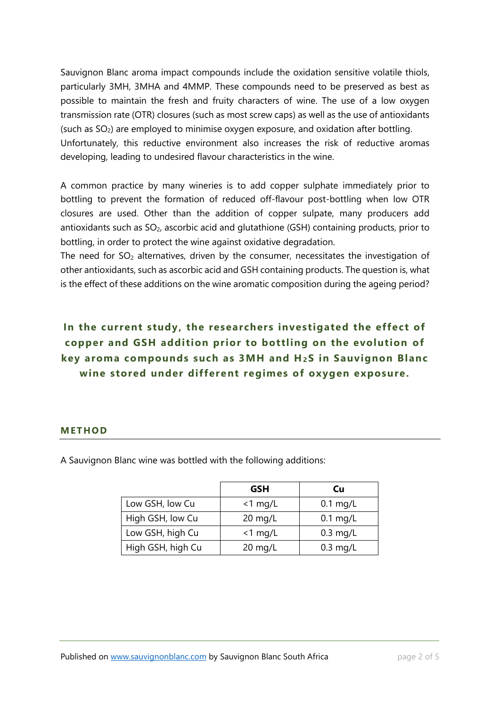Sauvignon Blanc aroma impact compounds include the oxidation sensitive volatile thiols, particularly 3MH, 3MHA and 4MMP. These compounds need to be preserved as best as possible to maintain the fresh and fruity characters of wine. The use of a low oxygen transmission rate (OTR) closures (such as most screw caps) as well as the use of antioxidants (such as SO2) are employed to minimise oxygen exposure, and oxidation after bottling. Unfortunately, this reductive environment also increases the risk of reductive aromas developing, leading to undesired flavour characteristics in the wine.

A common practice by many wineries is to add copper sulphate immediately prior to bottling to prevent the formation of reduced off-flavour post-bottling when low OTR closures are used. Other than the addition of copper sulpate, many producers add antioxidants such as SO<sub>2</sub>, ascorbic acid and glutathione (GSH) containing products, prior to bottling, in order to protect the wine against oxidative degradation.

The need for  $SO<sub>2</sub>$  alternatives, driven by the consumer, necessitates the investigation of other antioxidants, such as ascorbic acid and GSH containing products. The question is, what is the effect of these additions on the wine aromatic composition during the ageing period?

## **In the current study, the researchers investigated the effect of copper and GSH addition prior to bottling on the evolution of key aroma compounds such as 3MH and H<sup>2</sup> S in Sauvignon Blanc wine stored under different regimes of oxygen exposure.**

#### **M ETHO D**

A Sauvignon Blanc wine was bottled with the following additions:

|                   | <b>GSH</b> | Cu         |
|-------------------|------------|------------|
| Low GSH, low Cu   | $<$ 1 mg/L | $0.1$ mg/L |
| High GSH, low Cu  | $20$ mg/L  | $0.1$ mg/L |
| Low GSH, high Cu  | $<$ 1 mg/L | $0.3$ mg/L |
| High GSH, high Cu | $20$ mg/L  | $0.3$ mg/L |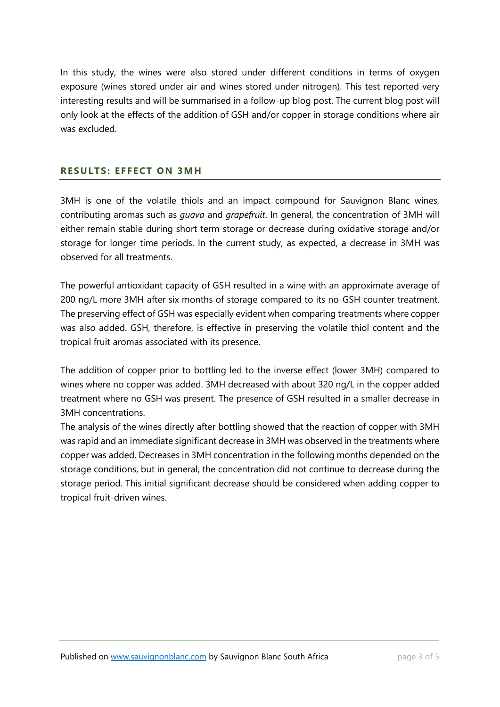In this study, the wines were also stored under different conditions in terms of oxygen exposure (wines stored under air and wines stored under nitrogen). This test reported very interesting results and will be summarised in a follow-up blog post. The current blog post will only look at the effects of the addition of GSH and/or copper in storage conditions where air was excluded.

#### **RESULTS: EFFECT ON 3MH**

3MH is one of the volatile thiols and an impact compound for Sauvignon Blanc wines, contributing aromas such as *guava* and *grapefruit*. In general, the concentration of 3MH will either remain stable during short term storage or decrease during oxidative storage and/or storage for longer time periods. In the current study, as expected, a decrease in 3MH was observed for all treatments.

The powerful antioxidant capacity of GSH resulted in a wine with an approximate average of 200 ng/L more 3MH after six months of storage compared to its no-GSH counter treatment. The preserving effect of GSH was especially evident when comparing treatments where copper was also added. GSH, therefore, is effective in preserving the volatile thiol content and the tropical fruit aromas associated with its presence.

The addition of copper prior to bottling led to the inverse effect (lower 3MH) compared to wines where no copper was added. 3MH decreased with about 320 ng/L in the copper added treatment where no GSH was present. The presence of GSH resulted in a smaller decrease in 3MH concentrations.

The analysis of the wines directly after bottling showed that the reaction of copper with 3MH was rapid and an immediate significant decrease in 3MH was observed in the treatments where copper was added. Decreases in 3MH concentration in the following months depended on the storage conditions, but in general, the concentration did not continue to decrease during the storage period. This initial significant decrease should be considered when adding copper to tropical fruit-driven wines.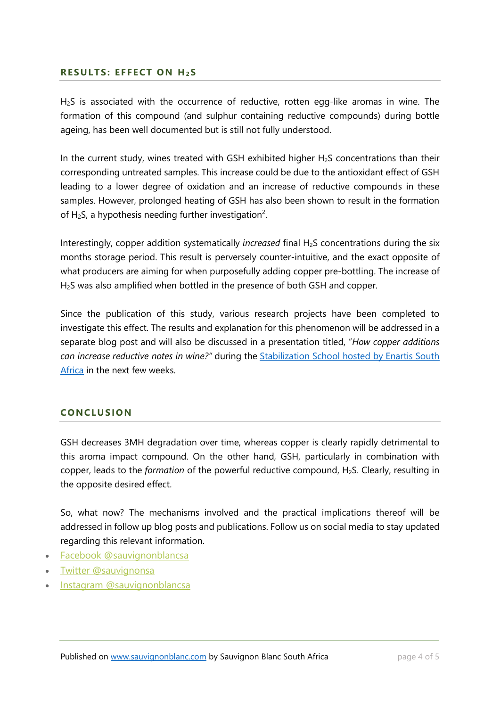#### **RESULTS: EFFECT ON H<sub>2</sub>S**

H<sub>2</sub>S is associated with the occurrence of reductive, rotten egg-like aromas in wine. The formation of this compound (and sulphur containing reductive compounds) during bottle ageing, has been well documented but is still not fully understood.

In the current study, wines treated with GSH exhibited higher  $H<sub>2</sub>S$  concentrations than their corresponding untreated samples. This increase could be due to the antioxidant effect of GSH leading to a lower degree of oxidation and an increase of reductive compounds in these samples. However, prolonged heating of GSH has also been shown to result in the formation of H<sub>2</sub>S, a hypothesis needing further investigation<sup>2</sup>.

Interestingly, copper addition systematically *increased* final H<sub>2</sub>S concentrations during the six months storage period. This result is perversely counter-intuitive, and the exact opposite of what producers are aiming for when purposefully adding copper pre-bottling. The increase of H2S was also amplified when bottled in the presence of both GSH and copper.

Since the publication of this study, various research projects have been completed to investigate this effect. The results and explanation for this phenomenon will be addressed in a separate blog post and will also be discussed in a presentation titled, "*How copper additions can increase reductive notes in wine?"* during the [Stabilization School hosted by Enartis South](http://mailingdual.mailupnet.it/f/rnl.aspx/?fmi=uyutx2:cje=w2-m-=o/tt5&-0.:=f.406-0c1h0c0&x=pp&ww&x=pv&e1lk9m63i6k029-j=u4xvNCLM)  [Africa](http://mailingdual.mailupnet.it/f/rnl.aspx/?fmi=uyutx2:cje=w2-m-=o/tt5&-0.:=f.406-0c1h0c0&x=pp&ww&x=pv&e1lk9m63i6k029-j=u4xvNCLM) in the next few weeks.

### **CONCLUSION**

GSH decreases 3MH degradation over time, whereas copper is clearly rapidly detrimental to this aroma impact compound. On the other hand, GSH, particularly in combination with copper, leads to the *formation* of the powerful reductive compound, H2S. Clearly, resulting in the opposite desired effect.

So, what now? The mechanisms involved and the practical implications thereof will be addressed in follow up blog posts and publications. Follow us on social media to stay updated regarding this relevant information.

- Facebook [@sauvignonblancsa](https://www.facebook.com/sauvignonblancsa/)
- Twitter [@sauvignonsa](http://twitter.com/SauvignonSA)
- Instagram [@sauvignonblancsa](https://www.instagram.com/sauvignonblancsa/)